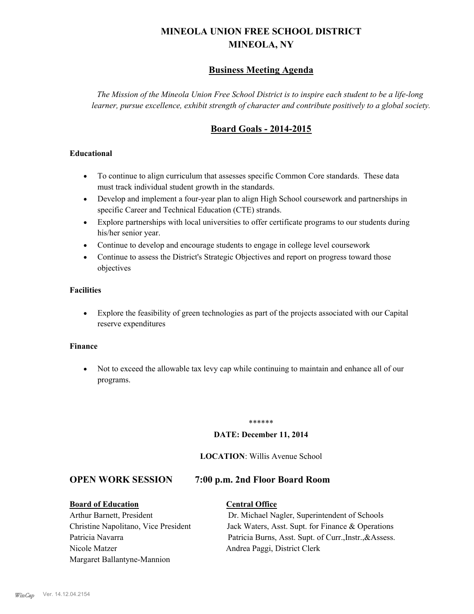# **MINEOLA UNION FREE SCHOOL DISTRICT MINEOLA, NY**

# **Business Meeting Agenda**

*The Mission of the Mineola Union Free School District is to inspire each student to be a life-long learner, pursue excellence, exhibit strength of character and contribute positively to a global society.*

# **Board Goals - 2014-2015**

#### **Educational**

- · To continue to align curriculum that assesses specific Common Core standards. These data must track individual student growth in the standards.
- · Develop and implement a four-year plan to align High School coursework and partnerships in specific Career and Technical Education (CTE) strands.
- · Explore partnerships with local universities to offer certificate programs to our students during his/her senior year.
- · Continue to develop and encourage students to engage in college level coursework
- Continue to assess the District's Strategic Objectives and report on progress toward those objectives

#### **Facilities**

· Explore the feasibility of green technologies as part of the projects associated with our Capital reserve expenditures

#### **Finance**

· Not to exceed the allowable tax levy cap while continuing to maintain and enhance all of our programs.

#### \*\*\*\*\*\*

#### **DATE: December 11, 2014**

#### **LOCATION**: Willis Avenue School

## **OPEN WORK SESSION 7:00 p.m. 2nd Floor Board Room**

#### **Board of Education Central Office**

Nicole Matzer Andrea Paggi, District Clerk Margaret Ballantyne-Mannion

Arthur Barnett, President Dr. Michael Nagler, Superintendent of Schools Christine Napolitano, Vice President Jack Waters, Asst. Supt. for Finance & Operations Patricia Navarra Patricia Burns, Asst. Supt. of Curr., Instr., & Assess.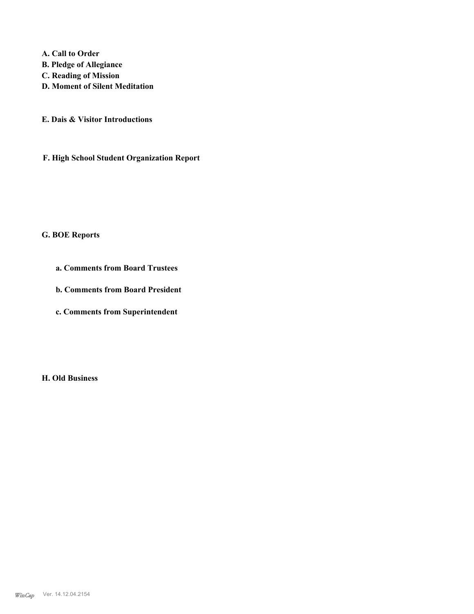**A. Call to Order B. Pledge of Allegiance C. Reading of Mission D. Moment of Silent Meditation**

**E. Dais & Visitor Introductions**

**F. High School Student Organization Report**

## **G. BOE Reports**

**a. Comments from Board Trustees**

**b. Comments from Board President**

**c. Comments from Superintendent**

**H. Old Business**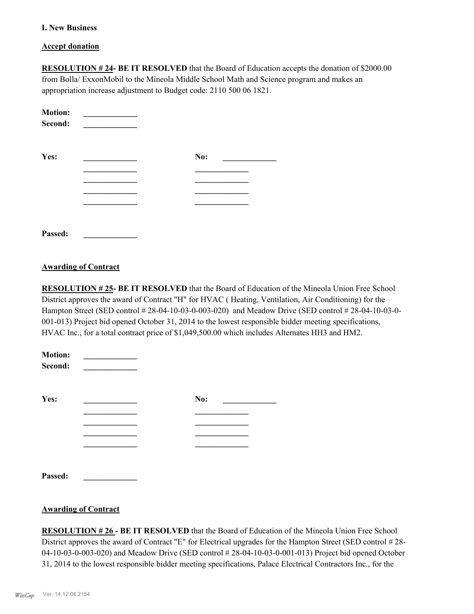#### **I. New Business**

#### **Accept donation**

**RESOLUTION # 24- BE IT RESOLVED** that the Board of Education accepts the donation of \$2000.00 from Bolla/ ExxonMobil to the Mineola Middle School Math and Science program and makes an appropriation increase adjustment to Budget code: 2110 500 06 1821.

| <b>Motion:</b><br>Second: |     |
|---------------------------|-----|
| Yes:                      | No: |
|                           |     |
|                           |     |
|                           |     |
| Passed.                   |     |

#### **Awarding of Contract**

**RESOLUTION # 25- BE IT RESOLVED** that the Board of Education of the Mineola Union Free School District approves the award of Contract "H" for HVAC ( Heating, Ventilation, Air Conditioning) for the Hampton Street (SED control # 28-04-10-03-0-003-020) and Meadow Drive (SED control # 28-04-10-03-0- 001-013) Project bid opened October 31, 2014 to the lowest responsible bidder meeting specifications, HVAC Inc., for a total contract price of \$1,049,500.00 which includes Alternates HH3 and HM2.

| <b>Motion:</b><br>Second: |     |
|---------------------------|-----|
| Yes:                      | No: |
|                           |     |
|                           |     |
|                           |     |
|                           |     |
| Passed:                   |     |

#### **Awarding of Contract**

**RESOLUTION # 26 - BE IT RESOLVED** that the Board of Education of the Mineola Union Free School District approves the award of Contract "E" for Electrical upgrades for the Hampton Street (SED control # 28- 04-10-03-0-003-020) and Meadow Drive (SED control # 28-04-10-03-0-001-013) Project bid opened October 31, 2014 to the lowest responsible bidder meeting specifications, Palace Electrical Contractors Inc., for the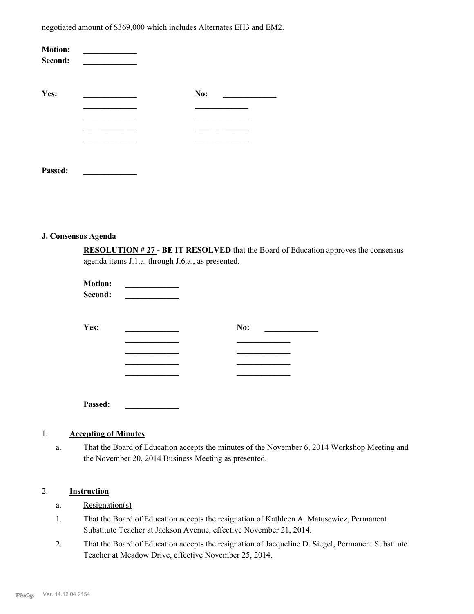negotiated amount of \$369,000 which includes Alternates EH3 and EM2.

| <b>Motion:</b><br>Second: |     |
|---------------------------|-----|
| Yes:                      | No: |
|                           |     |
|                           |     |
|                           |     |
|                           |     |
|                           |     |
| Passed:                   |     |

#### **J. Consensus Agenda**

**RESOLUTION # 27 - BE IT RESOLVED** that the Board of Education approves the consensus agenda items J.1.a. through J.6.a., as presented.

| <b>Motion:</b><br>Second: |     |  |
|---------------------------|-----|--|
| Yes:                      | No: |  |
|                           |     |  |
|                           |     |  |
|                           |     |  |
|                           |     |  |
| Passed:                   |     |  |

#### 1. **Accepting of Minutes**

That the Board of Education accepts the minutes of the November 6, 2014 Workshop Meeting and the November 20, 2014 Business Meeting as presented. a.

# 2. **Instruction**

- a. Resignation(s)
- That the Board of Education accepts the resignation of Kathleen A. Matusewicz, Permanent Substitute Teacher at Jackson Avenue, effective November 21, 2014. 1.
- That the Board of Education accepts the resignation of Jacqueline D. Siegel, Permanent Substitute Teacher at Meadow Drive, effective November 25, 2014. 2.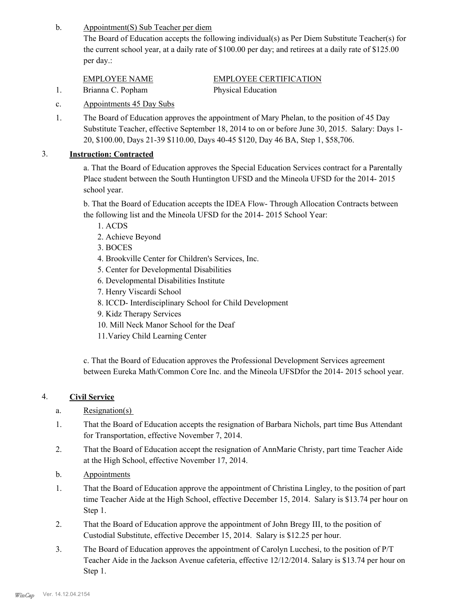Appointment(S) Sub Teacher per diem b.

> The Board of Education accepts the following individual(s) as Per Diem Substitute Teacher(s) for the current school year, at a daily rate of \$100.00 per day; and retirees at a daily rate of \$125.00 per day.:

| EMPLOYEE NAME     | <b>EMPLOYEE CERTIFICATION</b> |
|-------------------|-------------------------------|
| Brianna C. Popham | <b>Physical Education</b>     |

- c. Appointments 45 Day Subs
- The Board of Education approves the appointment of Mary Phelan, to the position of 45 Day Substitute Teacher, effective September 18, 2014 to on or before June 30, 2015. Salary: Days 1- 20, \$100.00, Days 21-39 \$110.00, Days 40-45 \$120, Day 46 BA, Step 1, \$58,706. 1.

# 3. **Instruction: Contracted**

a. That the Board of Education approves the Special Education Services contract for a Parentally Place student between the South Huntington UFSD and the Mineola UFSD for the 2014- 2015 school year.

b. That the Board of Education accepts the IDEA Flow- Through Allocation Contracts between the following list and the Mineola UFSD for the 2014- 2015 School Year:

- 1. ACDS
- 2. Achieve Beyond
- 3. BOCES
- 4. Brookville Center for Children's Services, Inc.
- 5. Center for Developmental Disabilities
- 6. Developmental Disabilities Institute
- 7. Henry Viscardi School
- 8. ICCD- Interdisciplinary School for Child Development
- 9. Kidz Therapy Services
- 10. Mill Neck Manor School for the Deaf
- 11.Variey Child Learning Center

c. That the Board of Education approves the Professional Development Services agreement between Eureka Math/Common Core Inc. and the Mineola UFSDfor the 2014- 2015 school year.

# 4. **Civil Service**

- a. Resignation(s)
- That the Board of Education accepts the resignation of Barbara Nichols, part time Bus Attendant for Transportation, effective November 7, 2014. 1.
- That the Board of Education accept the resignation of AnnMarie Christy, part time Teacher Aide at the High School, effective November 17, 2014. 2.
- b. Appointments
- That the Board of Education approve the appointment of Christina Lingley, to the position of part time Teacher Aide at the High School, effective December 15, 2014. Salary is \$13.74 per hour on Step 1. 1.
- That the Board of Education approve the appointment of John Bregy III, to the position of Custodial Substitute, effective December 15, 2014. Salary is \$12.25 per hour. 2.
- The Board of Education approves the appointment of Carolyn Lucchesi, to the position of P/T Teacher Aide in the Jackson Avenue cafeteria, effective 12/12/2014. Salary is \$13.74 per hour on Step 1. 3.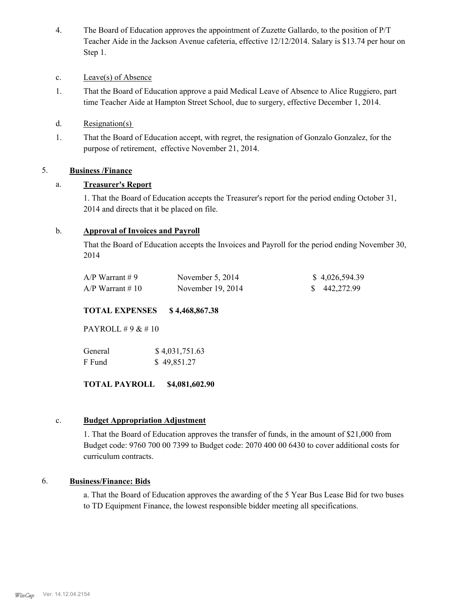The Board of Education approves the appointment of Zuzette Gallardo, to the position of P/T Teacher Aide in the Jackson Avenue cafeteria, effective 12/12/2014. Salary is \$13.74 per hour on Step 1. 4.

## c. Leave(s) of Absence

- That the Board of Education approve a paid Medical Leave of Absence to Alice Ruggiero, part time Teacher Aide at Hampton Street School, due to surgery, effective December 1, 2014. 1.
- d. Resignation(s)
- That the Board of Education accept, with regret, the resignation of Gonzalo Gonzalez, for the purpose of retirement, effective November 21, 2014. 1.

# 5. **Business /Finance**

# a. **Treasurer's Report**

1. That the Board of Education accepts the Treasurer's report for the period ending October 31, 2014 and directs that it be placed on file.

#### b. **Approval of Invoices and Payroll**

That the Board of Education accepts the Invoices and Payroll for the period ending November 30, 2014

| A/P Warrant # 9  | November $5, 2014$  | \$4,026,594.39 |
|------------------|---------------------|----------------|
| A/P Warrant # 10 | November $19, 2014$ | \$442,272.99   |

## **TOTAL EXPENSES \$ 4,468,867.38**

PAYROLL # 9 & # 10

| General | \$4,031,751.63 |
|---------|----------------|
| F Fund  | \$49,851.27    |

**TOTAL PAYROLL \$4,081,602.90**

#### c. **Budget Appropriation Adjustment**

1. That the Board of Education approves the transfer of funds, in the amount of \$21,000 from Budget code: 9760 700 00 7399 to Budget code: 2070 400 00 6430 to cover additional costs for curriculum contracts.

#### 6. **Business/Finance: Bids**

a. That the Board of Education approves the awarding of the 5 Year Bus Lease Bid for two buses to TD Equipment Finance, the lowest responsible bidder meeting all specifications.